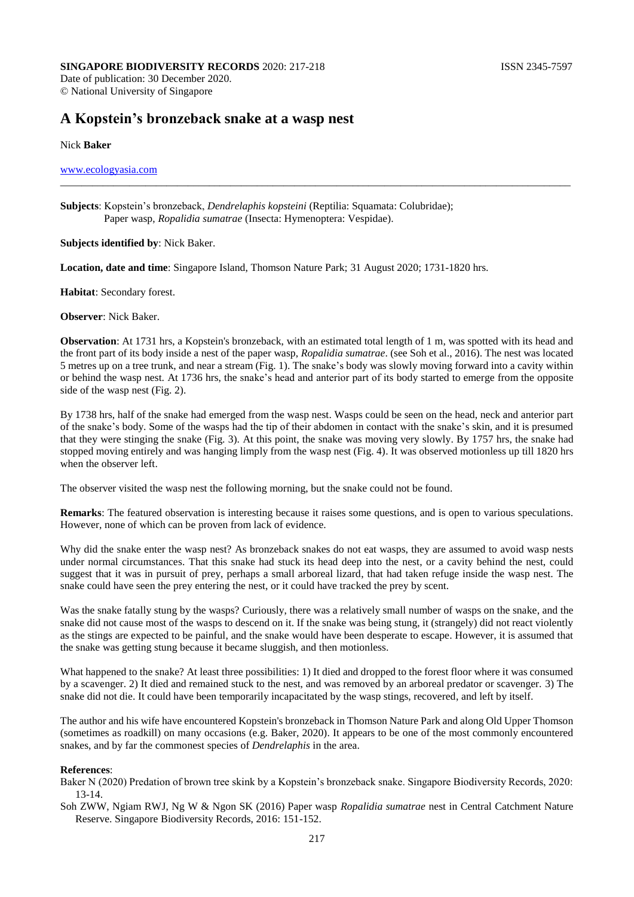### **SINGAPORE BIODIVERSITY RECORDS** 2020: 217-218 **ISSN 2345-7597** Date of publication: 30 December 2020.

© National University of Singapore

# **A Kopstein's bronzeback snake at a wasp nest**

## Nick **Baker**

## [www.ecologyasia.com](http://www.ecologyasia.com/)

**Subjects**: Kopstein's bronzeback, *Dendrelaphis kopsteini* (Reptilia: Squamata: Colubridae); Paper wasp, *Ropalidia sumatrae* (Insecta: Hymenoptera: Vespidae).

**Subjects identified by**: Nick Baker.

**Location, date and time**: Singapore Island, Thomson Nature Park; 31 August 2020; 1731-1820 hrs.

**Habitat**: Secondary forest.

**Observer**: Nick Baker.

**Observation**: At 1731 hrs, a Kopstein's bronzeback, with an estimated total length of 1 m, was spotted with its head and the front part of its body inside a nest of the paper wasp, *Ropalidia sumatrae*. (see Soh et al., 2016). The nest was located 5 metres up on a tree trunk, and near a stream (Fig. 1). The snake's body was slowly moving forward into a cavity within or behind the wasp nest. At 1736 hrs, the snake's head and anterior part of its body started to emerge from the opposite side of the wasp nest (Fig. 2).

\_\_\_\_\_\_\_\_\_\_\_\_\_\_\_\_\_\_\_\_\_\_\_\_\_\_\_\_\_\_\_\_\_\_\_\_\_\_\_\_\_\_\_\_\_\_\_\_\_\_\_\_\_\_\_\_\_\_\_\_\_\_\_\_\_\_\_\_\_\_\_\_\_\_\_\_\_\_\_\_\_\_\_\_\_\_\_\_\_\_\_\_\_\_\_\_

By 1738 hrs, half of the snake had emerged from the wasp nest. Wasps could be seen on the head, neck and anterior part of the snake's body. Some of the wasps had the tip of their abdomen in contact with the snake's skin, and it is presumed that they were stinging the snake (Fig. 3). At this point, the snake was moving very slowly. By 1757 hrs, the snake had stopped moving entirely and was hanging limply from the wasp nest (Fig. 4). It was observed motionless up till 1820 hrs when the observer left.

The observer visited the wasp nest the following morning, but the snake could not be found.

**Remarks**: The featured observation is interesting because it raises some questions, and is open to various speculations. However, none of which can be proven from lack of evidence.

Why did the snake enter the wasp nest? As bronzeback snakes do not eat wasps, they are assumed to avoid wasp nests under normal circumstances. That this snake had stuck its head deep into the nest, or a cavity behind the nest, could suggest that it was in pursuit of prey, perhaps a small arboreal lizard, that had taken refuge inside the wasp nest. The snake could have seen the prey entering the nest, or it could have tracked the prey by scent.

Was the snake fatally stung by the wasps? Curiously, there was a relatively small number of wasps on the snake, and the snake did not cause most of the wasps to descend on it. If the snake was being stung, it (strangely) did not react violently as the stings are expected to be painful, and the snake would have been desperate to escape. However, it is assumed that the snake was getting stung because it became sluggish, and then motionless.

What happened to the snake? At least three possibilities: 1) It died and dropped to the forest floor where it was consumed by a scavenger. 2) It died and remained stuck to the nest, and was removed by an arboreal predator or scavenger. 3) The snake did not die. It could have been temporarily incapacitated by the wasp stings, recovered, and left by itself.

The author and his wife have encountered Kopstein's bronzeback in Thomson Nature Park and along Old Upper Thomson (sometimes as roadkill) on many occasions (e.g. Baker, 2020). It appears to be one of the most commonly encountered snakes, and by far the commonest species of *Dendrelaphis* in the area.

#### **References**:

Baker N (2020) Predation of brown tree skink by a Kopstein's bronzeback snake. Singapore Biodiversity Records, 2020: 13-14.

Soh ZWW, Ngiam RWJ, Ng W & Ngon SK (2016) Paper wasp *Ropalidia sumatrae* nest in Central Catchment Nature Reserve. Singapore Biodiversity Records, 2016: 151-152.